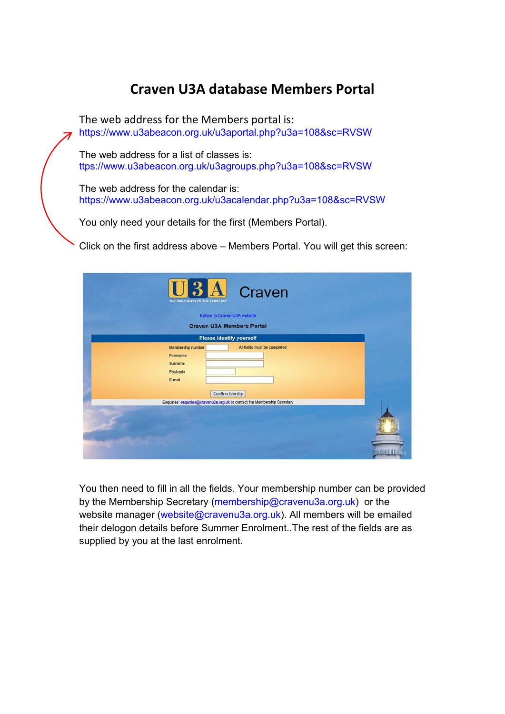## **Craven U3A database Members Portal**

The web address for the Members portal is: https://www.u3abeacon.org.uk/u3aportal.php?u3a=108&sc=RVSW

The web address for a list of classes is: ttps://www.u3abeacon.org.uk/u3agroups.php?u3a=108&sc=RVSW

The web address for the calendar is: https://www.u3abeacon.org.uk/u3acalendar.php?u3a=108&sc=RVSW

You only need your details for the first (Members Portal).

Click on the first address above – Members Portal. You will get this screen:

| <b>U3A</b> Craven<br>THE UNIVERSITY OF THE THIRD AGE<br>Return to Craven U3A website<br><b>Craven U3A Members Portal</b> |  |
|--------------------------------------------------------------------------------------------------------------------------|--|
| <b>Please identify yourself</b>                                                                                          |  |
| All fields must be completed<br>Membership number<br>Forename<br>Surname<br>Postcode<br>E-mail<br>Confirm Identity       |  |
| Enquiries: enquiries@cravenu3a.org.uk or contact the Membership Secretary                                                |  |
|                                                                                                                          |  |

You then need to fill in all the fields. Your membership number can be provided by the Membership Secretary (membership@cravenu3a.org.uk) or the website manager (website@cravenu3a.org.uk). All members will be emailed their delogon details before Summer Enrolment..The rest of the fields are as supplied by you at the last enrolment.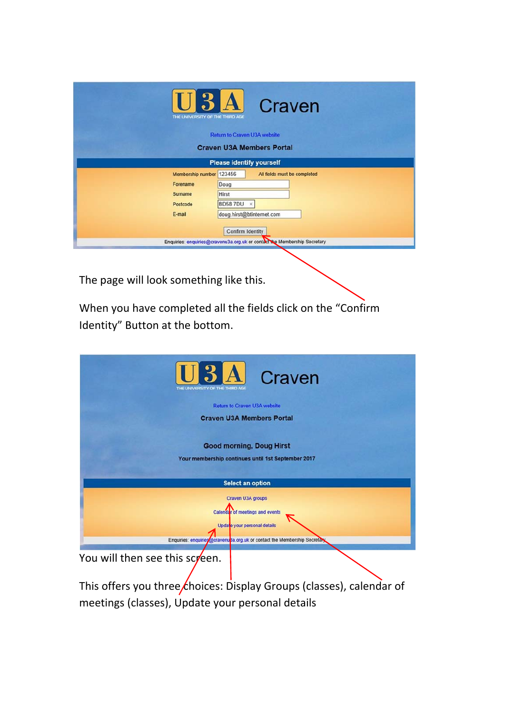| $U3A$<br>THE UNIVERSITY OF THE THIRD AGE                                                      | Craven                       |
|-----------------------------------------------------------------------------------------------|------------------------------|
| <b>Return to Craven U3A website</b>                                                           |                              |
| <b>Craven U3A Members Portal</b>                                                              |                              |
| <b>Please identify yourself</b>                                                               |                              |
| Membership number 123456                                                                      | All fields must be completed |
| Doug<br>Forename                                                                              |                              |
| <b>Hirst</b><br>Surname                                                                       |                              |
| <b>BD587DU</b><br>$\times$<br>Postcode                                                        |                              |
| doug.hirst@btinternet.com<br>E-mail                                                           |                              |
| Confirm Identity<br>Enquiries: enquiries@cravenu3a.org.uk or contact the Membership Secretary |                              |

The page will look something like this.

When you have completed all the fields click on the "Confirm Identity" Button at the bottom.

| U3A Craven<br>THE UNIVERSITY OF THE THIRD AGE                                         |
|---------------------------------------------------------------------------------------|
| <b>Return to Craven U3A website</b>                                                   |
| <b>Craven U3A Members Portal</b>                                                      |
| <b>Good morning, Doug Hirst</b><br>Your membership continues until 1st September 2017 |
| <b>Select an option</b>                                                               |
| Craven U3A groups                                                                     |
| Calendar of meetings and events                                                       |
| Update your personal details                                                          |
|                                                                                       |
| Enquiries: enquiries ocravenus a org uk or contact the Membership Secretary           |
| You will then see this screen.                                                        |

This offers you three *choices:* Display Groups (classes), calendar of meetings (classes), Update your personal details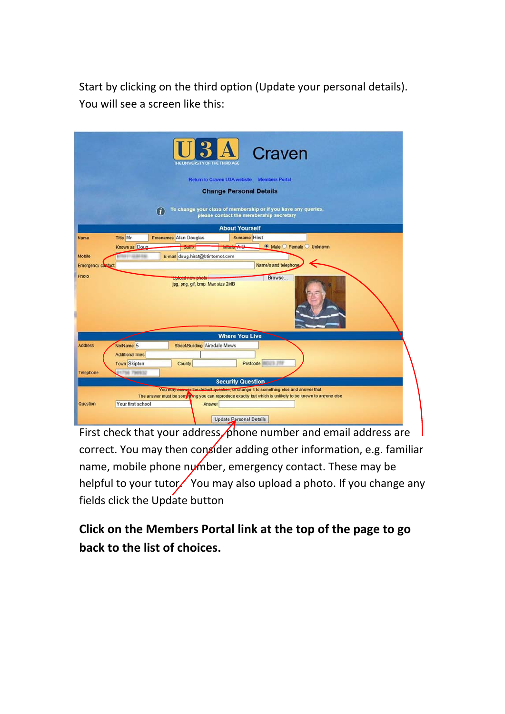Start by clicking on the third option (Update your personal details). You will see a screen like this:

|                          |                         | Craven<br>THE UNIVERSITY OF THE THIRD AGO                                                                                                                                                      |
|--------------------------|-------------------------|------------------------------------------------------------------------------------------------------------------------------------------------------------------------------------------------|
|                          |                         | <b>Return to Craven U3A website</b><br><b>Members Portal</b>                                                                                                                                   |
|                          |                         | <b>Change Personal Details</b>                                                                                                                                                                 |
|                          |                         | To change your class of membership or if you have any queries,<br>G<br>please contact the membership secretary                                                                                 |
|                          |                         | <b>About Yourself</b>                                                                                                                                                                          |
| Name                     | <b>Title Mr</b>         | Surname Hirst<br>Forenames Alan Douglas                                                                                                                                                        |
|                          | Known as Doug           | $\sqrt{2}$<br>● Male ● Female ● Unknown<br><b>SUILMEN</b>                                                                                                                                      |
| Mobile                   | <b>BOYT ALBA EN</b>     | E-mail doug.hirst@btinternet.com                                                                                                                                                               |
| <b>Emergency contact</b> |                         | Name/s and telephone                                                                                                                                                                           |
| Photo                    |                         | Browse<br>ipg, png, gif, bmp. Max size 2MB                                                                                                                                                     |
|                          |                         | <b>Where You Live</b>                                                                                                                                                                          |
| <b>Address</b>           | No/Name 5               | Street/Building Airedale Mews                                                                                                                                                                  |
|                          | <b>Additional lines</b> |                                                                                                                                                                                                |
|                          | <b>Town</b> Skipton     | Postcode <b>Management</b><br>County                                                                                                                                                           |
| Telephone                | <b>JY 756 790932</b>    |                                                                                                                                                                                                |
|                          |                         | <b>Security Question</b>                                                                                                                                                                       |
|                          |                         | You may answer the default question, or change it to something else and answer that<br>The answer must be something you can reproduce exactly but which is unlikely to be known to anyone else |
| Question                 | Your first school       | Answer<br><b>Update Personal Details</b>                                                                                                                                                       |

First check that your address  $\sqrt{\rho}$  hone number and email address are correct. You may then consider adding other information, e.g. familiar name, mobile phone number, emergency contact. These may be helpful to your tutor. You may also upload a photo. If you change any fields click the Update button

**Click on the Members Portal link at the top of the page to go back to the list of choices.**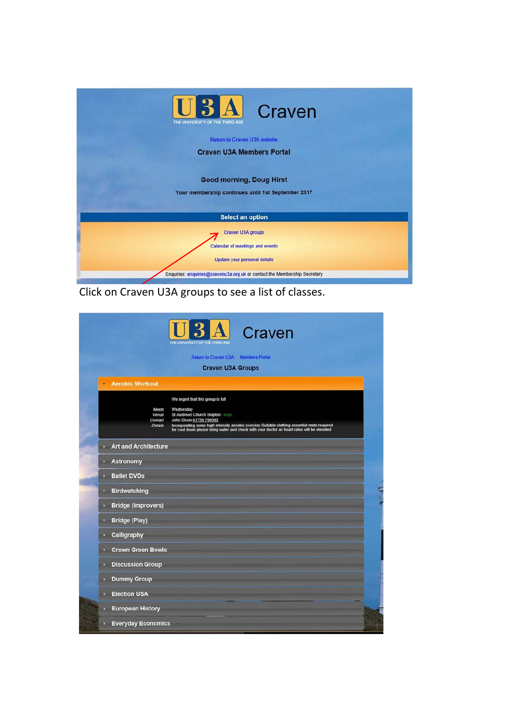

Click on Craven U3A groups to see a list of classes.

|                                   | Return to Craven U3A Members Portal                                                                                                                                                                                                                                                                                                                        |
|-----------------------------------|------------------------------------------------------------------------------------------------------------------------------------------------------------------------------------------------------------------------------------------------------------------------------------------------------------------------------------------------------------|
|                                   | <b>Craven U3A Groups</b>                                                                                                                                                                                                                                                                                                                                   |
| <b>Aerobic Workout</b>            |                                                                                                                                                                                                                                                                                                                                                            |
|                                   | We regret that this group is full<br>Meets<br>Wednesday<br>St Andrews Church Skipton - map<br>Venue<br>John Dixon 01756 796563<br>Contact<br>Incorporating some high intensity aerobic exercise Suitable clothing essential mats required<br>for cool down please bring water and check with your doctor as heart rates will be elevated<br><b>Details</b> |
| <b>Art and Architecture</b><br>ъ. |                                                                                                                                                                                                                                                                                                                                                            |
| <b>Astronomy</b>                  |                                                                                                                                                                                                                                                                                                                                                            |
| <b>Ballet DVDs</b><br>ъ.          |                                                                                                                                                                                                                                                                                                                                                            |
| <b>Birdwatching</b><br>D          |                                                                                                                                                                                                                                                                                                                                                            |
| <b>Bridge (Improvers)</b><br>×    |                                                                                                                                                                                                                                                                                                                                                            |
| <b>Bridge (Play)</b>              |                                                                                                                                                                                                                                                                                                                                                            |
| Calligraphy<br>D.                 |                                                                                                                                                                                                                                                                                                                                                            |
| <b>Crown Green Bowls</b><br>л     |                                                                                                                                                                                                                                                                                                                                                            |
| <b>Discussion Group</b><br>P.     |                                                                                                                                                                                                                                                                                                                                                            |
| <b>Dummy Group</b><br>D.          |                                                                                                                                                                                                                                                                                                                                                            |
|                                   |                                                                                                                                                                                                                                                                                                                                                            |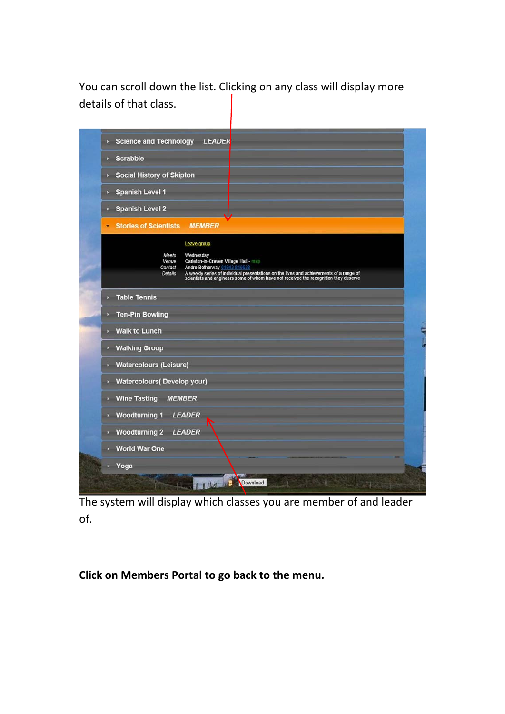You can scroll down the list. Clicking on any class will display more details of that class.

|              | Science and Technology LEADER                                                                                                                                                                                                                                                                                               |
|--------------|-----------------------------------------------------------------------------------------------------------------------------------------------------------------------------------------------------------------------------------------------------------------------------------------------------------------------------|
| $\mathbf{v}$ | <b>Scrabble</b>                                                                                                                                                                                                                                                                                                             |
|              | <b>Social History of Skipton</b>                                                                                                                                                                                                                                                                                            |
|              | <b>Spanish Level 1</b><br>$\mathbf{p}$                                                                                                                                                                                                                                                                                      |
|              | <b>Spanish Level 2</b>                                                                                                                                                                                                                                                                                                      |
| ٠            | <b>MEMBER</b><br><b>Stories of Scientists</b>                                                                                                                                                                                                                                                                               |
|              | Leave group<br>Meets<br>Wednesday<br>Carleton-in-Craven Village Hall - map<br>Venue<br>Contact<br>Andre Botherway 01943 81663<br>Details<br>A weekly series of individual presentations on the lives and achievements of a range of<br>scientists and engineers some of whom have not received the recognition they deserve |
|              | <b>Table Tennis</b>                                                                                                                                                                                                                                                                                                         |
|              | <b>Ten-Pin Bowling</b>                                                                                                                                                                                                                                                                                                      |
|              | <b>Walk to Lunch</b>                                                                                                                                                                                                                                                                                                        |
|              | <b>Walking Group</b>                                                                                                                                                                                                                                                                                                        |
|              | <b>Watercolours (Leisure)</b>                                                                                                                                                                                                                                                                                               |
|              | <b>Watercolours(Develop your)</b>                                                                                                                                                                                                                                                                                           |
| ×            | <b>Wine Tasting</b><br><b>MEMBER</b>                                                                                                                                                                                                                                                                                        |
|              | <b>Woodturning 1</b><br><b>LEADER</b>                                                                                                                                                                                                                                                                                       |
|              | <b>Woodturning 2</b><br><b>LEADER</b>                                                                                                                                                                                                                                                                                       |
|              | <b>World War One</b>                                                                                                                                                                                                                                                                                                        |
|              | Yoga                                                                                                                                                                                                                                                                                                                        |
|              | <b>Download</b>                                                                                                                                                                                                                                                                                                             |

The system will display which classes you are member of and leader of.

**Click on Members Portal to go back to the menu.**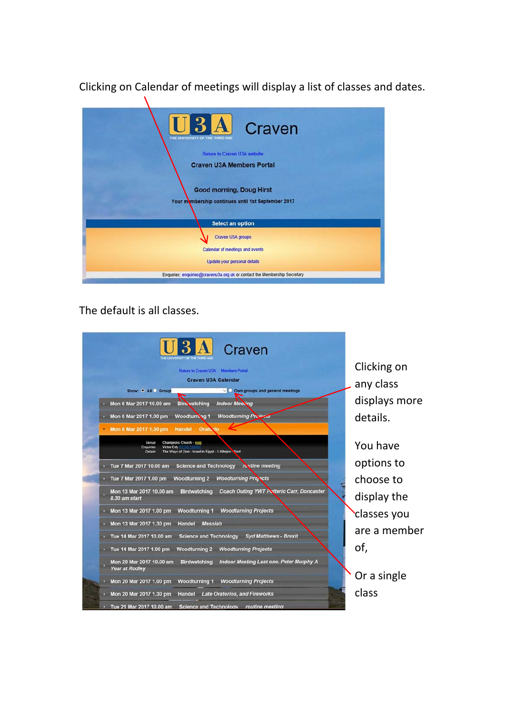Clicking on Calendar of meetings will display a list of classes and dates.



## The default is all classes.

| Craven                                                                                                                                  |               |
|-----------------------------------------------------------------------------------------------------------------------------------------|---------------|
| Return to Craven U3A Members Portal                                                                                                     | Clicking on   |
| <b>Craven U3A Calendar</b>                                                                                                              | any class     |
| Show: • All Group<br>$\vee$ Own groups and general meetings<br><b>Biro</b> vatching<br>Mon 6 Mar 2017 10.00 am<br><b>Indoor Meeting</b> | displays more |
| <b>Woodturning Projects</b><br>Woodturning 1<br>Mon 6 Mar 2017 1.00 pm                                                                  | details.      |
| Mon 6 Mar 2017 1.30 pm<br>Handel<br><b>Oratorio</b>                                                                                     |               |
| Champions Church - map<br>Venue<br>Victor Edy<br>Enquiries<br>The Ways of Zion - Israel in Egypt - L'Allegro - Saul<br><b>Details</b>   | You have      |
| Tue 7 Mar 2017 10.00 am<br><b>Science and Technology</b><br>revtine meeting                                                             | options to    |
| <b>Woodturning 2</b><br><b>Woodturning Projects</b><br>Tue 7 Mar 2017 1.00 pm                                                           | choose to     |
| <b>Coach Outing YWT Potteric Carr, Doncaster</b><br>Mon 13 Mar 2017 10.00 am<br><b>Birdwatching</b><br>8.30 am start                    | display the   |
| Mon 13 Mar 2017 1.00 pm<br><b>Woodturning 1</b><br><b>Woodturning Projects</b>                                                          | classes you   |
| Mon 13 Mar 2017 1.30 pm<br>Handel<br><b>Messiah</b>                                                                                     | are a member  |
| Tue 14 Mar 2017 10.00 am<br><b>Science and Technology</b><br><b>Syd Matthews - Brexit</b>                                               |               |
| <b>Woodturning Projects</b><br>Tue 14 Mar 2017 1.00 pm<br><b>Woodturning 2</b>                                                          | of,           |
| Mon 20 Mar 2017 10.00 am<br><b>Birdwatching</b><br>Indoor Meeting Last one. Peter Murphy A<br><b>Year at Rodley</b>                     |               |
| <b>Woodturning Projects</b><br>Mon 20 Mar 2017 1.00 pm<br><b>Woodturning 1</b>                                                          | Or a single   |
| Mon 20 Mar 2017 1.30 pm<br>Handel<br><b>Late Oratorios, and Fireworks</b>                                                               | class         |
| Tue 21 Mar 2017 10.00 am Science and Technology routine meeting                                                                         |               |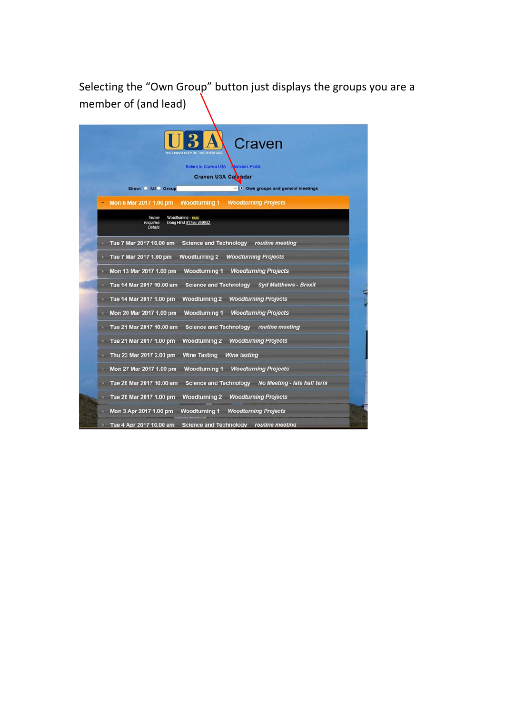Selecting the "Own Group" button just displays the groups you are a member of (and lead)

| <b>Return to Craven U3A</b><br><b>Cembers Portal</b>                                 |
|--------------------------------------------------------------------------------------|
| Craven U3A Cal pdar                                                                  |
| Show: All Group<br>$\vee$ . Own groups and general meetings                          |
| <b>Woodturning 1</b><br>Mon 6 Mar 2017 1.00 pm<br><b>Woodturning Projects</b>        |
| Woodturning - map<br>Venue<br>Doug Hirst 01756 790932<br><b>Enquiries</b><br>Details |
| Science and Technology routine meeting<br>Tue 7 Mar 2017 10.00 am                    |
| Woodturning 2 Woodturning Projects<br>Tue 7 Mar 2017 1.00 pm                         |
| Mon 13 Mar 2017 1.00 pm<br>Woodturning 1 Woodturning Projects                        |
| Tue 14 Mar 2017 10.00 am<br>Science and Technology Syd Matthews - Brexit             |
| Tue 14 Mar 2017 1.00 pm<br><b>Woodturning 2 Woodturning Projects</b>                 |
| Woodturning 1 Woodturning Projects<br>Mon 20 Mar 2017 1.00 pm                        |
| Science and Technology routine meeting<br>Tue 21 Mar 2017 10.00 am                   |
| <b>Woodturning 2 Woodturning Projects</b><br>Tue 21 Mar 2017 1.00 pm                 |
| Wine Tasting Wine tasting<br>Thu 23 Mar 2017 2.00 pm                                 |
| Mon 27 Mar 2017 1.00 pm<br><b>Woodturning 1 Woodturning Projects</b>                 |
| Science and Technology No Meeting - late half term<br>Tue 28 Mar 2017 10.00 am       |
|                                                                                      |